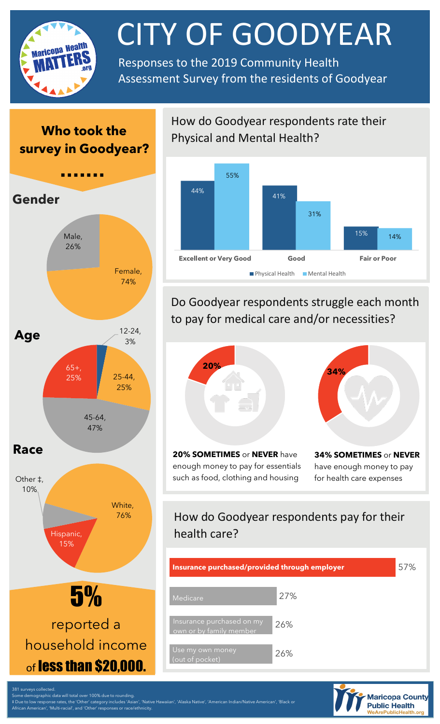

# CITY OF GOODYEAR

Assessment Survey from the residents of Goodyear

## **Who took the survey in Goodyear?**



African American', 'Multi-racial', and 'Other' responses or race/ethnicity.

How do Goodyear respondents rate their Physical and Mental Health?



## Do Goodyear respondents struggle each month to pay for medical care and/or necessities?



**20% SOMETIMES** or **NEVER** have enough money to pay for essentials such as food, clothing and housing



**34% SOMETIMES** or **NEVER**  have enough money to pay for health care expenses

## How do Goodyear respondents pay for their health care?